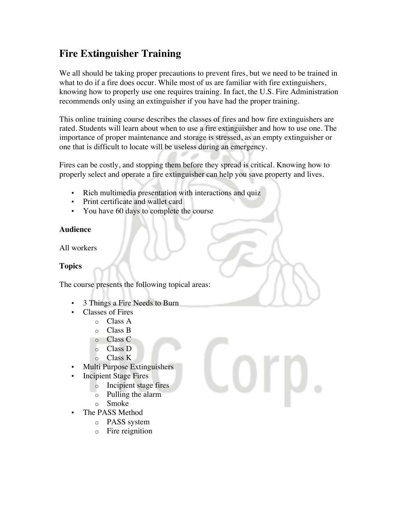# **Fire Extinguisher Training**

We all should be taking proper precautions to prevent fires, but we need to be trained in what to do if a fire does occur. While most of us are familiar with fire extinguishers, knowing how to properly use one requires training. In fact, the U.S. Fire Administration recommends only using an extinguisher if you have had the proper training.

This online training course describes the classes of fires and how fire extinguishers are rated. Students will learn about when to use a fire extinguisher and how to use one. The importance of proper maintenance and storage is stressed, as an empty extinguisher or one that is difficult to locate will be useless during an emergency.

Fires can be costly, and stopping them before they spread is critical. Knowing how to properly select and operate a fire extinguisher can help you save property and lives.

- Rich multimedia presentation with interactions and quiz
- Print certificate and wallet card
- You have 60 days to complete the course

#### **Audience**

All workers

### **Topics**

The course presents the following topical areas:

- 3 Things a Fire Needs to Burn
- Classes of Fires
	- o Class A
	- o Class B
	- o Class C
	- o Class D
	- o Class K
- Multi Purpose Extinguishers
- **Incipient Stage Fires** 
	- o Incipient stage fires
	- o Pulling the alarm
	- o Smoke
- The PASS Method
	- o PASS system
	- o Fire reignition